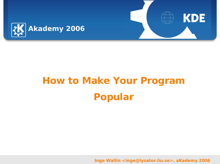

# **How to Make Your Program Popular**

**Inge Wallin <inge@lysator.liu.se>, aKademy 2006**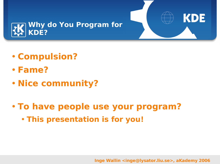

- **Compulsion?**
- **Fame?**
- **Nice community?**
- **To have people use your program?**
	- **This presentation is for you!**

**Inge Wallin <inge@lysator.liu.se>, aKademy 2006**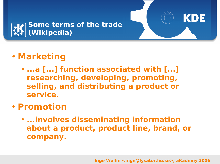

# • **Marketing**

• **...a [...] function associated with [...] researching, developing, promoting, selling, and distributing a product or service.**

### • **Promotion**

• **...involves disseminating information about a product, product line, brand, or company.**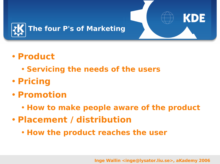

- **Product**
	- **Servicing the needs of the users**
- **Pricing**
- **Promotion**
	- **How to make people aware of the product**
- **Placement / distribution**
	- **How the product reaches the user**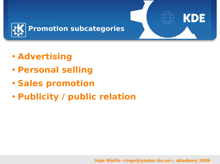

- **Advertising**
- **Personal selling**
- **Sales promotion**
- **Publicity / public relation**

#### **Inge Wallin <inge@lysator.liu.se>, aKademy 2006**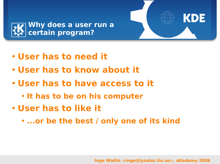

- **User has to need it**
- **User has to know about it**
- **User has to have access to it**
	- **It has to be on his computer**
- **User has to like it**
	- **...or be the best / only one of its kind**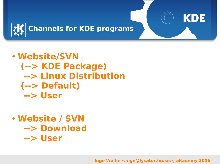

### • **Website/SVN (--> KDE Package) --> Linux Distribution (--> Default) --> User**

# • **Website / SVN --> Download --> User**

**Inge Wallin <inge@lysator.liu.se>, aKademy 2006**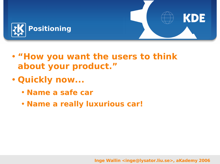

- **"How you want the users to think about your product. "**
- **Quickly now...**
	- **Name a safe car**
	- **Name a really luxurious car!**

**Inge Wallin <inge@lysator.liu.se>, aKademy 2006**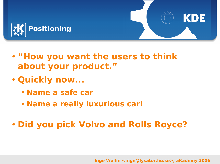

- **"How you want the users to think about your product. "**
- **Quickly now...**
	- **Name a safe car**
	- **Name a really luxurious car!**
- **Did you pick Volvo and Rolls Royce?**

**Inge Wallin <inge@lysator.liu.se>, aKademy 2006**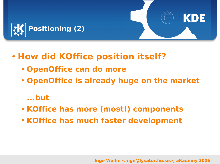

- **How did KOffice position itself?**
	- **OpenOffice can do more**
	- **OpenOffice is already huge on the market**

#### **...but**

- **KOffice has more (most!) components**
- **KOffice has much faster development**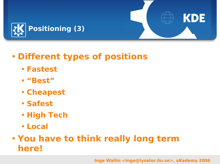

# • **Different types of positions**

- **Fastest**
- **"Best"**
- **Cheapest**
- **Safest**
- **High Tech**
- **Local**

# • **You have to think really long term here!**

**Inge Wallin <inge@lysator.liu.se>, aKademy 2006**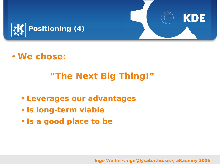

# • **We chose:**

# **"The Next Big Thing!"**

- **Leverages our advantages**
- **Is long-term viable**
- **Is a good place to be**

**Inge Wallin <inge@lysator.liu.se>, aKademy 2006**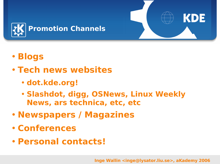

- **Blogs**
- **Tech news websites**
	- **dot.kde.org!**
	- **Slashdot, digg, OSNews, Linux Weekly News, ars technica, etc, etc**
- **Newspapers / Magazines**
- **Conferences**
- **Personal contacts!**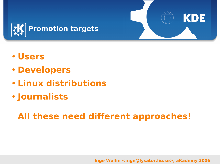

- **Users**
- **Developers**
- **Linux distributions**
- **Journalists**

# **All these need different approaches!**

**Inge Wallin <inge@lysator.liu.se>, aKademy 2006**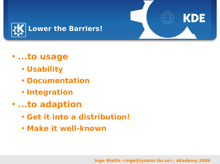

### • **...to usage**

- **Usability**
- **Documentation**
- **Integration**
- **...to adaption**
	- **Get it into a distribution!**
	- **Make it well-known**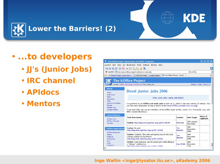



#### **Lower the Barriers! (2)**

# • **...to developers**

- **JJ's (Junior Jobs)**
- **IRC channel**
- **APIdocs**
- **Mentors**

| The KOffice Project - Devel Junior Jobs 2006 - Konqueror                                               |                                                                                                                                                                                                                                                                                                                                      |  |  |                       |                          | 2<br>п                        | $\times$             |
|--------------------------------------------------------------------------------------------------------|--------------------------------------------------------------------------------------------------------------------------------------------------------------------------------------------------------------------------------------------------------------------------------------------------------------------------------------|--|--|-----------------------|--------------------------|-------------------------------|----------------------|
| Location Edit View Go Bookmarks Tools Settings Window Help                                             |                                                                                                                                                                                                                                                                                                                                      |  |  |                       |                          |                               |                      |
| 000000000000<br>依                                                                                      |                                                                                                                                                                                                                                                                                                                                      |  |  |                       |                          |                               |                      |
| Location: http://www.koffice.org/getinvolved/junior-jobs.php                                           |                                                                                                                                                                                                                                                                                                                                      |  |  |                       | $\blacksquare$           |                               |                      |
| The KOffice Project - Devel<br>⊠<br>Fedora Project, sponsored b<br><b>GKDE Dot News</b><br>about:blank |                                                                                                                                                                                                                                                                                                                                      |  |  |                       |                          |                               | 图                    |
| $\overline{\phantom{a}}$<br><b>The KOffice Project</b>                                                 |                                                                                                                                                                                                                                                                                                                                      |  |  |                       |                          |                               |                      |
| Location: KOffice Homepage / Get Involved / Dev Junior Jobs                                            |                                                                                                                                                                                                                                                                                                                                      |  |  |                       |                          | Sitemap :: Help :: Contact Us |                      |
| <b>Inform</b><br>Home<br><b>KDE Home</b>                                                               | <b>Devel Junior Jobs 2006</b>                                                                                                                                                                                                                                                                                                        |  |  |                       |                          |                               |                      |
| <b>News</b><br><b>Information</b><br><b>FAO</b>                                                        | [Doc Junior Jobs   Junior Jobs Done ]                                                                                                                                                                                                                                                                                                |  |  |                       |                          |                               |                      |
| <b>Add-ons for KOffice</b><br>People<br><b>Mailing Lists</b><br><b>Support KOffice</b>                 | It is prefered to use KOffice syn trunk code to work on 11, which is the next coming 2.0 release. You<br>can find some information on how to build it on the Install KOffice unstable from syn page.<br>If you need help, you can join members of the KOffice team on IRC, server irc. freenode.org, port<br>6667, channel #koffice. |  |  |                       |                          |                               |                      |
| <b>Latest Releases</b><br>KOffice 1.5.2                                                                | <b>Task Description</b><br>Contact                                                                                                                                                                                                                                                                                                   |  |  | <b>Date Target</b>    | Name of<br>Applicant     |                               |                      |
| KOffice 1.6-beta1<br><b>Security</b>                                                                   | Karbon: http://bugs.kde.org/show_bug.cgi?id=109189                                                                                                                                                                                                                                                                                   |  |  | <b>Rob Buis</b>       | 30th January<br>December |                               |                      |
| <b>KOffice Applications</b><br><b>KOffice Workspace</b>                                                | Karbon: fix units<br>http://bugs.kde.org/show_bug.cgi?id=115010                                                                                                                                                                                                                                                                      |  |  | Tim<br><b>Beaulen</b> | 30th<br>December<br>2006 |                               |                      |
| <b>KWord</b><br><b>KSpread</b><br><b>KPresenter</b>                                                    | Karbon: Usability: The color and opacity bars in the color<br>chooser palette are backwards.<br><b>Beaulen</b><br>http://bugs.kde.org/show_bug.cgi?id=115213                                                                                                                                                                         |  |  |                       | 30th<br>December<br>2006 |                               |                      |
| Kexi<br>Kivio<br>Karbon14                                                                              | KChart: Code structure: put the wizard and config dialog in<br>a "dialogs" subdirectory.<br><b>Inge Wallin</b><br>http://bugs.kde.org/show_bug.cgi2id=117960                                                                                                                                                                         |  |  |                       | 30th<br>December<br>2006 | $\overline{a}$                | $\frac{1}{\sqrt{2}}$ |
| Θ                                                                                                      |                                                                                                                                                                                                                                                                                                                                      |  |  |                       |                          |                               |                      |

#### **Inge Wallin <inge@lysator.liu.se>, aKademy 2006**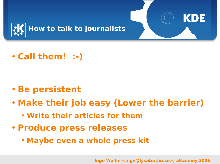

• **Call them! :-)**

- **Be persistent**
- **Make their job easy (Lower the barrier)**
	- **Write their articles for them**
- **Produce press releases**
	- **Maybe even a whole press kit**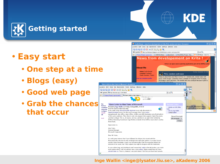

### • **Easy start**

- **One step at a time**
- **Blogs (easy)**
- **Good web page**
- **Grab the chances that occur**



KDE

#### **Inge Wallin <inge@lysator.liu.se>, aKademy 2006**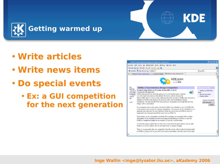

- **Write articles**
- **Write news items**
- **Do special events**
	- **Ex: a GUI competition for the next generation**



#### **Inge Wallin <inge@lysator.liu.se>, aKademy 2006**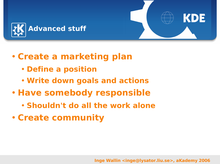



- **Define a position**
- **Write down goals and actions**
- **Have somebody responsible**
	- **Shouldn't do all the work alone**
- **Create community**